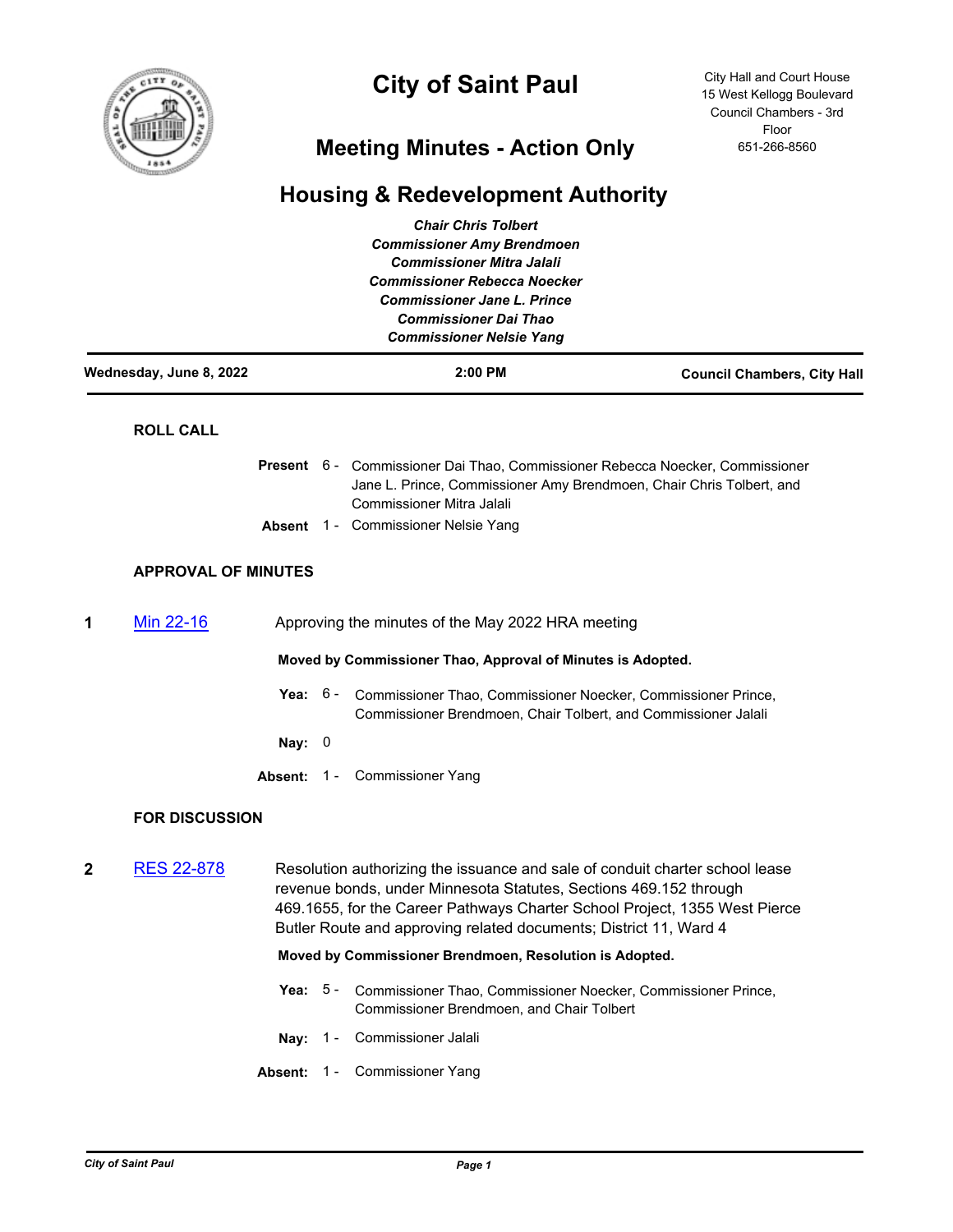

# **City of Saint Paul**

City Hall and Court House 15 West Kellogg Boulevard Council Chambers - 3rd Floor 651-266-8560

## **Meeting Minutes - Action Only**

### **Housing & Redevelopment Authority**

|                         |                                                                |                                                             | <b>Chair Chris Tolbert</b><br><b>Commissioner Amy Brendmoen</b><br><b>Commissioner Mitra Jalali</b><br><b>Commissioner Rebecca Noecker</b><br><b>Commissioner Jane L. Prince</b><br><b>Commissioner Dai Thao</b><br><b>Commissioner Nelsie Yang</b>                                                  |                                    |
|-------------------------|----------------------------------------------------------------|-------------------------------------------------------------|------------------------------------------------------------------------------------------------------------------------------------------------------------------------------------------------------------------------------------------------------------------------------------------------------|------------------------------------|
| Wednesday, June 8, 2022 |                                                                |                                                             | 2:00 PM                                                                                                                                                                                                                                                                                              | <b>Council Chambers, City Hall</b> |
|                         | <b>ROLL CALL</b>                                               |                                                             |                                                                                                                                                                                                                                                                                                      |                                    |
|                         |                                                                |                                                             | Present 6 - Commissioner Dai Thao, Commissioner Rebecca Noecker, Commissioner<br>Jane L. Prince, Commissioner Amy Brendmoen, Chair Chris Tolbert, and<br><b>Commissioner Mitra Jalali</b>                                                                                                            |                                    |
|                         |                                                                |                                                             | <b>Absent</b> 1 - Commissioner Nelsie Yang                                                                                                                                                                                                                                                           |                                    |
|                         | <b>APPROVAL OF MINUTES</b>                                     |                                                             |                                                                                                                                                                                                                                                                                                      |                                    |
| 1                       | Min 22-16<br>Approving the minutes of the May 2022 HRA meeting |                                                             |                                                                                                                                                                                                                                                                                                      |                                    |
|                         |                                                                | Moved by Commissioner Thao, Approval of Minutes is Adopted. |                                                                                                                                                                                                                                                                                                      |                                    |
|                         |                                                                | Yea: $6 -$                                                  | Commissioner Thao, Commissioner Noecker, Commissioner Prince,<br>Commissioner Brendmoen, Chair Tolbert, and Commissioner Jalali                                                                                                                                                                      |                                    |
|                         |                                                                | Nay: $0$                                                    |                                                                                                                                                                                                                                                                                                      |                                    |
|                         |                                                                |                                                             | Absent: 1 - Commissioner Yang                                                                                                                                                                                                                                                                        |                                    |
|                         | <b>FOR DISCUSSION</b>                                          |                                                             |                                                                                                                                                                                                                                                                                                      |                                    |
| 2                       | <b>RES 22-878</b>                                              |                                                             | Resolution authorizing the issuance and sale of conduit charter school lease<br>revenue bonds, under Minnesota Statutes, Sections 469.152 through<br>469.1655, for the Career Pathways Charter School Project, 1355 West Pierce<br>Butler Route and approving related documents; District 11, Ward 4 |                                    |
|                         |                                                                |                                                             | Moved by Commissioner Brendmoen, Resolution is Adopted.                                                                                                                                                                                                                                              |                                    |
|                         |                                                                | Yea: $5 -$                                                  | Commissioner Thao, Commissioner Noecker, Commissioner Prince,<br>Commissioner Brendmoen, and Chair Tolbert                                                                                                                                                                                           |                                    |
|                         |                                                                | Nay:<br>$1 -$                                               | Commissioner Jalali                                                                                                                                                                                                                                                                                  |                                    |
|                         |                                                                | Absent:<br>$1 -$                                            | <b>Commissioner Yang</b>                                                                                                                                                                                                                                                                             |                                    |